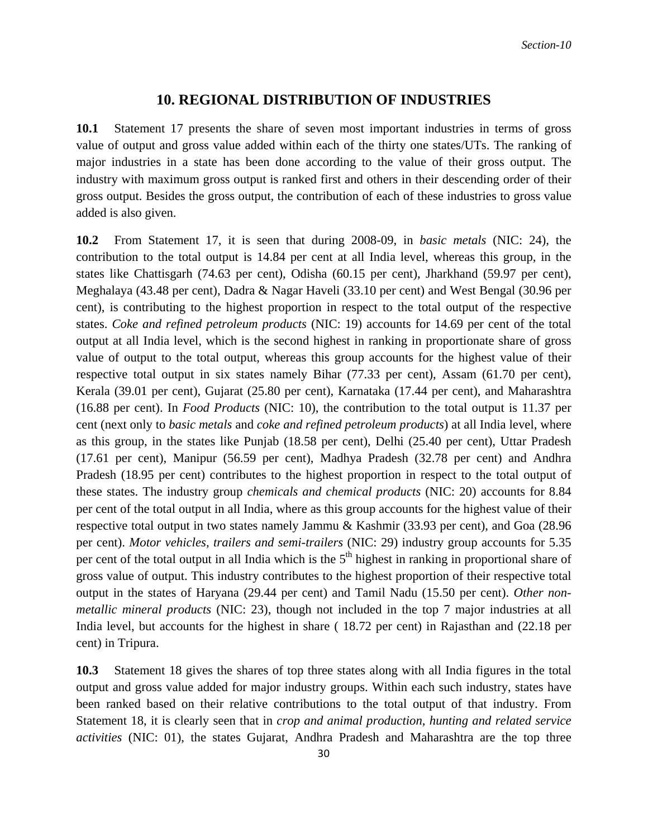## **10. REGIONAL DISTRIBUTION OF INDUSTRIES**

**10.1** Statement 17 presents the share of seven most important industries in terms of gross value of output and gross value added within each of the thirty one states/UTs. The ranking of major industries in a state has been done according to the value of their gross output. The industry with maximum gross output is ranked first and others in their descending order of their gross output. Besides the gross output, the contribution of each of these industries to gross value added is also given.

**10.2** From Statement 17, it is seen that during 2008-09, in *basic metals* (NIC: 24), the contribution to the total output is 14.84 per cent at all India level, whereas this group, in the states like Chattisgarh (74.63 per cent), Odisha (60.15 per cent), Jharkhand (59.97 per cent), Meghalaya (43.48 per cent), Dadra & Nagar Haveli (33.10 per cent) and West Bengal (30.96 per cent), is contributing to the highest proportion in respect to the total output of the respective states. *Coke and refined petroleum products* (NIC: 19) accounts for 14.69 per cent of the total output at all India level, which is the second highest in ranking in proportionate share of gross value of output to the total output, whereas this group accounts for the highest value of their respective total output in six states namely Bihar (77.33 per cent), Assam (61.70 per cent), Kerala (39.01 per cent), Gujarat (25.80 per cent), Karnataka (17.44 per cent), and Maharashtra (16.88 per cent). In *Food Products* (NIC: 10), the contribution to the total output is 11.37 per cent (next only to *basic metals* and *coke and refined petroleum products*) at all India level, where as this group, in the states like Punjab (18.58 per cent), Delhi (25.40 per cent), Uttar Pradesh (17.61 per cent), Manipur (56.59 per cent), Madhya Pradesh (32.78 per cent) and Andhra Pradesh (18.95 per cent) contributes to the highest proportion in respect to the total output of these states. The industry group *chemicals and chemical products* (NIC: 20) accounts for 8.84 per cent of the total output in all India, where as this group accounts for the highest value of their respective total output in two states namely Jammu & Kashmir (33.93 per cent), and Goa (28.96 per cent). *Motor vehicles, trailers and semi-trailers* (NIC: 29) industry group accounts for 5.35 per cent of the total output in all India which is the  $5<sup>th</sup>$  highest in ranking in proportional share of gross value of output. This industry contributes to the highest proportion of their respective total output in the states of Haryana (29.44 per cent) and Tamil Nadu (15.50 per cent). *Other nonmetallic mineral products* (NIC: 23), though not included in the top 7 major industries at all India level, but accounts for the highest in share ( 18.72 per cent) in Rajasthan and (22.18 per cent) in Tripura.

**10.3** Statement 18 gives the shares of top three states along with all India figures in the total output and gross value added for major industry groups. Within each such industry, states have been ranked based on their relative contributions to the total output of that industry. From Statement 18, it is clearly seen that in *crop and animal production, hunting and related service activities* (NIC: 01), the states Gujarat, Andhra Pradesh and Maharashtra are the top three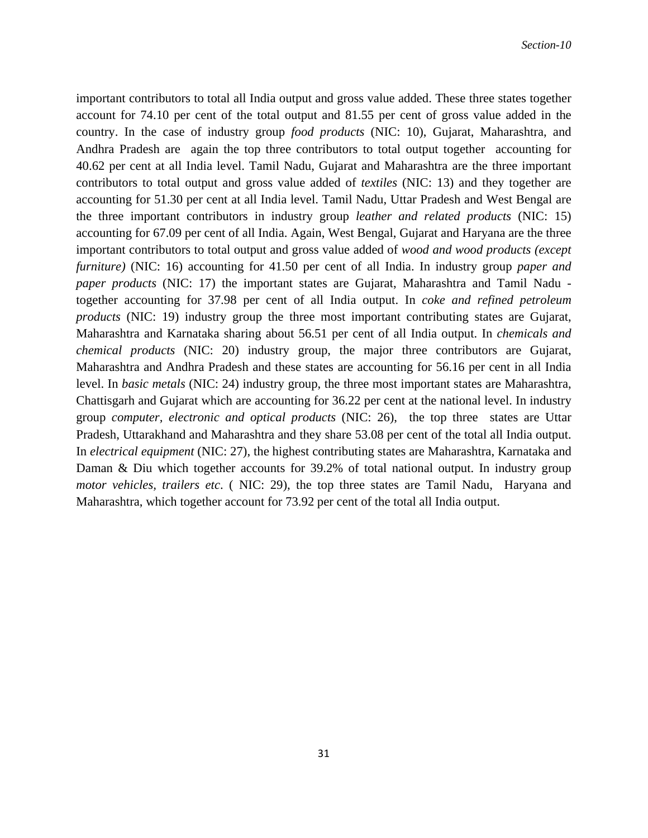important contributors to total all India output and gross value added. These three states together account for 74.10 per cent of the total output and 81.55 per cent of gross value added in the country. In the case of industry group *food products* (NIC: 10), Gujarat, Maharashtra, and Andhra Pradesh are again the top three contributors to total output together accounting for 40.62 per cent at all India level. Tamil Nadu, Gujarat and Maharashtra are the three important contributors to total output and gross value added of *textiles* (NIC: 13) and they together are accounting for 51.30 per cent at all India level. Tamil Nadu, Uttar Pradesh and West Bengal are the three important contributors in industry group *leather and related products* (NIC: 15) accounting for 67.09 per cent of all India. Again, West Bengal, Gujarat and Haryana are the three important contributors to total output and gross value added of *wood and wood products (except furniture)* (NIC: 16) accounting for 41.50 per cent of all India. In industry group *paper and paper products* (NIC: 17) the important states are Gujarat, Maharashtra and Tamil Nadu together accounting for 37.98 per cent of all India output. In *coke and refined petroleum products* (NIC: 19) industry group the three most important contributing states are Gujarat, Maharashtra and Karnataka sharing about 56.51 per cent of all India output. In *chemicals and chemical products* (NIC: 20) industry group, the major three contributors are Gujarat, Maharashtra and Andhra Pradesh and these states are accounting for 56.16 per cent in all India level. In *basic metals* (NIC: 24) industry group, the three most important states are Maharashtra, Chattisgarh and Gujarat which are accounting for 36.22 per cent at the national level. In industry group *computer, electronic and optical products* (NIC: 26), the top three states are Uttar Pradesh, Uttarakhand and Maharashtra and they share 53.08 per cent of the total all India output. In *electrical equipment* (NIC: 27), the highest contributing states are Maharashtra, Karnataka and Daman & Diu which together accounts for 39.2% of total national output. In industry group *motor vehicles, trailers etc*. ( NIC: 29), the top three states are Tamil Nadu, Haryana and Maharashtra, which together account for 73.92 per cent of the total all India output.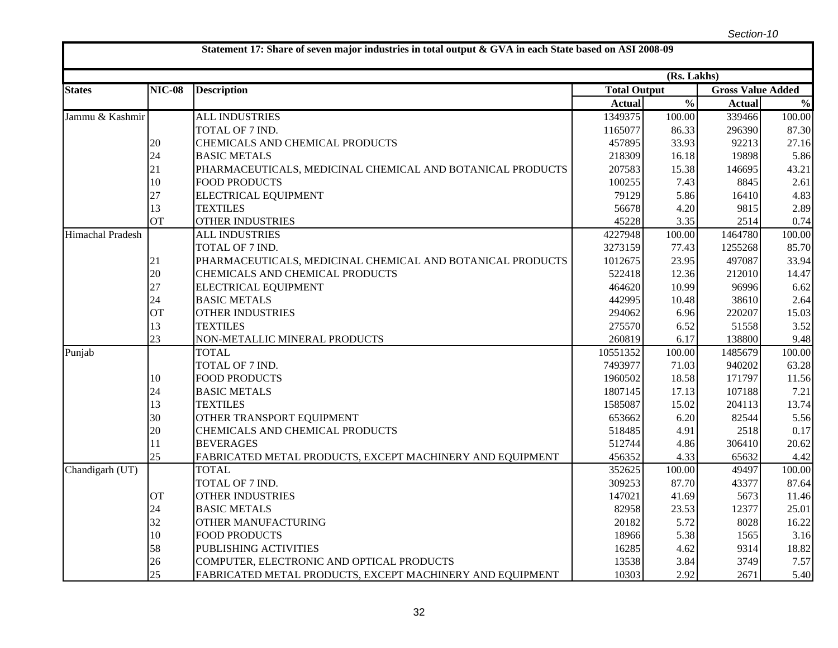|                  |               |                                                            |                     | (Rs. Lakhs)              |                          |               |
|------------------|---------------|------------------------------------------------------------|---------------------|--------------------------|--------------------------|---------------|
| <b>States</b>    | <b>NIC-08</b> | <b>Description</b>                                         | <b>Total Output</b> |                          | <b>Gross Value Added</b> |               |
|                  |               |                                                            | <b>Actual</b>       | $\overline{\frac{0}{0}}$ | <b>Actual</b>            | $\frac{0}{0}$ |
| Jammu & Kashmir  |               | <b>ALL INDUSTRIES</b>                                      | 1349375             | 100.00                   | 339466                   | 100.00        |
|                  |               | TOTAL OF 7 IND.                                            | 1165077             | 86.33                    | 296390                   | 87.30         |
|                  | 20            | CHEMICALS AND CHEMICAL PRODUCTS                            | 457895              | 33.93                    | 92213                    | 27.16         |
|                  | 24            | <b>BASIC METALS</b>                                        | 218309              | 16.18                    | 19898                    | 5.86          |
|                  | 21            | PHARMACEUTICALS, MEDICINAL CHEMICAL AND BOTANICAL PRODUCTS | 207583              | 15.38                    | 146695                   | 43.21         |
|                  | 10            | <b>FOOD PRODUCTS</b>                                       | 100255              | 7.43                     | 8845                     | 2.61          |
|                  | 27            | ELECTRICAL EQUIPMENT                                       | 79129               | 5.86                     | 16410                    | 4.83          |
|                  | 13            | <b>TEXTILES</b>                                            | 56678               | 4.20                     | 9815                     | 2.89          |
|                  | <b>OT</b>     | <b>OTHER INDUSTRIES</b>                                    | 45228               | 3.35                     | 2514                     | 0.74          |
| Himachal Pradesh |               | <b>ALL INDUSTRIES</b>                                      | 4227948             | 100.00                   | 1464780                  | 100.00        |
|                  |               | TOTAL OF 7 IND.                                            | 3273159             | 77.43                    | 1255268                  | 85.70         |
|                  | 21            | PHARMACEUTICALS, MEDICINAL CHEMICAL AND BOTANICAL PRODUCTS | 1012675             | 23.95                    | 497087                   | 33.94         |
|                  | 20            | CHEMICALS AND CHEMICAL PRODUCTS                            | 522418              | 12.36                    | 212010                   | 14.47         |
|                  | 27            | ELECTRICAL EQUIPMENT                                       | 464620              | 10.99                    | 96996                    | 6.62          |
|                  | 24            | <b>BASIC METALS</b>                                        | 442995              | 10.48                    | 38610                    | 2.64          |
|                  | OT            | <b>OTHER INDUSTRIES</b>                                    | 294062              | 6.96                     | 220207                   | 15.03         |
|                  | 13            | <b>TEXTILES</b>                                            | 275570              | 6.52                     | 51558                    | 3.52          |
|                  | 23            | NON-METALLIC MINERAL PRODUCTS                              | 260819              | 6.17                     | 138800                   | 9.48          |
| Punjab           |               | <b>TOTAL</b>                                               | 10551352            | 100.00                   | 1485679                  | 100.00        |
|                  |               | TOTAL OF 7 IND.                                            | 7493977             | 71.03                    | 940202                   | 63.28         |
|                  | 10            | <b>FOOD PRODUCTS</b>                                       | 1960502             | 18.58                    | 171797                   | 11.56         |
|                  | 24            | <b>BASIC METALS</b>                                        | 1807145             | 17.13                    | 107188                   | 7.21          |
|                  | 13            | <b>TEXTILES</b>                                            | 1585087             | 15.02                    | 204113                   | 13.74         |
|                  | 30            | OTHER TRANSPORT EQUIPMENT                                  | 653662              | 6.20                     | 82544                    | 5.56          |
|                  | 20            | CHEMICALS AND CHEMICAL PRODUCTS                            | 518485              | 4.91                     | 2518                     | 0.17          |
|                  | 11            | <b>BEVERAGES</b>                                           | 512744              | 4.86                     | 306410                   | 20.62         |
|                  | 25            | FABRICATED METAL PRODUCTS, EXCEPT MACHINERY AND EQUIPMENT  | 456352              | 4.33                     | 65632                    | 4.42          |
| Chandigarh (UT)  |               | <b>TOTAL</b>                                               | 352625              | 100.00                   | 49497                    | 100.00        |
|                  |               | TOTAL OF 7 IND.                                            | 309253              | 87.70                    | 43377                    | 87.64         |
|                  | <b>OT</b>     | <b>OTHER INDUSTRIES</b>                                    | 147021              | 41.69                    | 5673                     | 11.46         |
|                  | 24            | <b>BASIC METALS</b>                                        | 82958               | 23.53                    | 12377                    | 25.01         |
|                  | 32            | OTHER MANUFACTURING                                        | 20182               | 5.72                     | 8028                     | 16.22         |
|                  | 10            | <b>FOOD PRODUCTS</b>                                       | 18966               | 5.38                     | 1565                     | 3.16          |
|                  | 58            | PUBLISHING ACTIVITIES                                      | 16285               | 4.62                     | 9314                     | 18.82         |
|                  | 26            | COMPUTER, ELECTRONIC AND OPTICAL PRODUCTS                  | 13538               | 3.84                     | 3749                     | 7.57          |
|                  | 25            | FABRICATED METAL PRODUCTS, EXCEPT MACHINERY AND EQUIPMENT  | 10303               | 2.92                     | 2671                     | 5.40          |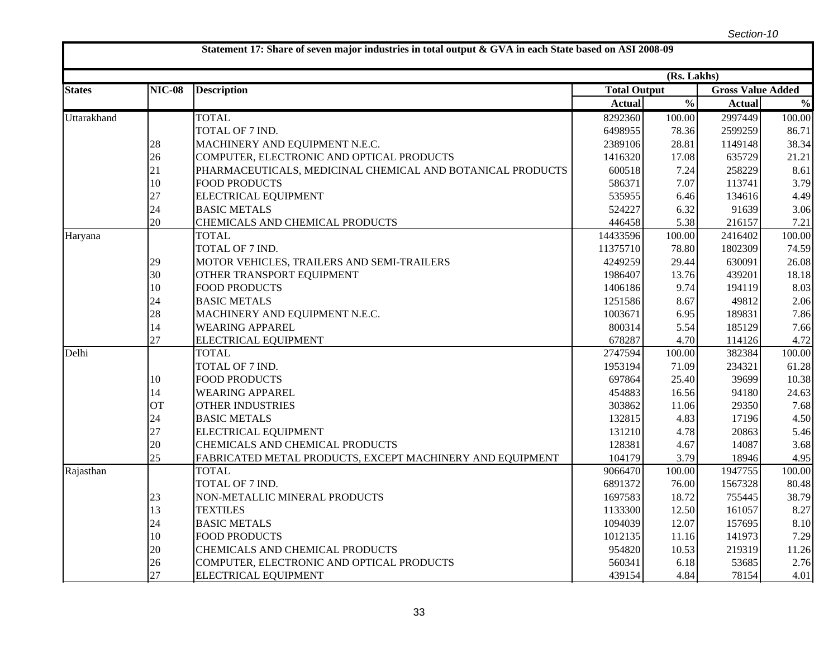|               |               |                                                            |                     | (Rs. Lakhs)              |                          |                                    |
|---------------|---------------|------------------------------------------------------------|---------------------|--------------------------|--------------------------|------------------------------------|
| <b>States</b> | <b>NIC-08</b> | <b>Description</b>                                         | <b>Total Output</b> |                          | <b>Gross Value Added</b> |                                    |
|               |               |                                                            | <b>Actual</b>       | $\overline{\frac{0}{0}}$ | <b>Actual</b>            | $\mathbf{0}_{\mathbf{0}}^{\prime}$ |
| Uttarakhand   |               | <b>TOTAL</b>                                               | 8292360             | 100.00                   | 2997449                  | 100.00                             |
|               |               | TOTAL OF 7 IND.                                            | 6498955             | 78.36                    | 2599259                  | 86.71                              |
|               | 28            | MACHINERY AND EQUIPMENT N.E.C.                             | 2389106             | 28.81                    | 1149148                  | 38.34                              |
|               | 26            | COMPUTER, ELECTRONIC AND OPTICAL PRODUCTS                  | 1416320             | 17.08                    | 635729                   | 21.21                              |
|               | 21            | PHARMACEUTICALS, MEDICINAL CHEMICAL AND BOTANICAL PRODUCTS | 600518              | 7.24                     | 258229                   | 8.61                               |
|               | 10            | <b>FOOD PRODUCTS</b>                                       | 586371              | 7.07                     | 113741                   | 3.79                               |
|               | 27            | <b>ELECTRICAL EQUIPMENT</b>                                | 535955              | 6.46                     | 134616                   | 4.49                               |
|               | 24            | <b>BASIC METALS</b>                                        | 524227              | 6.32                     | 91639                    | 3.06                               |
|               | 20            | CHEMICALS AND CHEMICAL PRODUCTS                            | 446458              | 5.38                     | 216157                   | 7.21                               |
| Haryana       |               | <b>TOTAL</b>                                               | 14433596            | 100.00                   | 2416402                  | 100.00                             |
|               |               | TOTAL OF 7 IND.                                            | 11375710            | 78.80                    | 1802309                  | 74.59                              |
|               | 29            | MOTOR VEHICLES, TRAILERS AND SEMI-TRAILERS                 | 4249259             | 29.44                    | 630091                   | 26.08                              |
|               | 30            | OTHER TRANSPORT EQUIPMENT                                  | 1986407             | 13.76                    | 439201                   | 18.18                              |
|               | 10            | <b>FOOD PRODUCTS</b>                                       | 1406186             | 9.74                     | 194119                   | 8.03                               |
|               | 24            | <b>BASIC METALS</b>                                        | 1251586             | 8.67                     | 49812                    | 2.06                               |
|               | 28            | MACHINERY AND EQUIPMENT N.E.C.                             | 1003671             | 6.95                     | 189831                   | 7.86                               |
|               | 14            | <b>WEARING APPAREL</b>                                     | 800314              | 5.54                     | 185129                   | 7.66                               |
|               | 27            | ELECTRICAL EQUIPMENT                                       | 678287              | 4.70                     | 114126                   | 4.72                               |
| Delhi         |               | <b>TOTAL</b>                                               | 2747594             | 100.00                   | 382384                   | 100.00                             |
|               |               | TOTAL OF 7 IND.                                            | 1953194             | 71.09                    | 234321                   | 61.28                              |
|               | 10            | <b>FOOD PRODUCTS</b>                                       | 697864              | 25.40                    | 39699                    | 10.38                              |
|               | 14            | <b>WEARING APPAREL</b>                                     | 454883              | 16.56                    | 94180                    | 24.63                              |
|               | <b>OT</b>     | <b>OTHER INDUSTRIES</b>                                    | 303862              | 11.06                    | 29350                    | 7.68                               |
|               | 24            | <b>BASIC METALS</b>                                        | 132815              | 4.83                     | 17196                    | 4.50                               |
|               | 27            | <b>ELECTRICAL EQUIPMENT</b>                                | 131210              | 4.78                     | 20863                    | 5.46                               |
|               | 20            | CHEMICALS AND CHEMICAL PRODUCTS                            | 128381              | 4.67                     | 14087                    | 3.68                               |
|               | 25            | FABRICATED METAL PRODUCTS, EXCEPT MACHINERY AND EQUIPMENT  | 104179              | 3.79                     | 18946                    | 4.95                               |
| Rajasthan     |               | <b>TOTAL</b>                                               | 9066470             | 100.00                   | 1947755                  | 100.00                             |
|               |               | TOTAL OF 7 IND.                                            | 6891372             | 76.00                    | 1567328                  | 80.48                              |
|               | 23            | NON-METALLIC MINERAL PRODUCTS                              | 1697583             | 18.72                    | 755445                   | 38.79                              |
|               | 13            | <b>TEXTILES</b>                                            | 1133300             | 12.50                    | 161057                   | 8.27                               |
|               | 24            | <b>BASIC METALS</b>                                        | 1094039             | 12.07                    | 157695                   | 8.10                               |
|               | 10            | <b>FOOD PRODUCTS</b>                                       | 1012135             | 11.16                    | 141973                   | 7.29                               |
|               | 20            | CHEMICALS AND CHEMICAL PRODUCTS                            | 954820              | 10.53                    | 219319                   | 11.26                              |
|               | 26            | COMPUTER, ELECTRONIC AND OPTICAL PRODUCTS                  | 560341              | 6.18                     | 53685                    | 2.76                               |
|               | 27            | ELECTRICAL EQUIPMENT                                       | 439154              | 4.84                     | 78154                    | 4.01                               |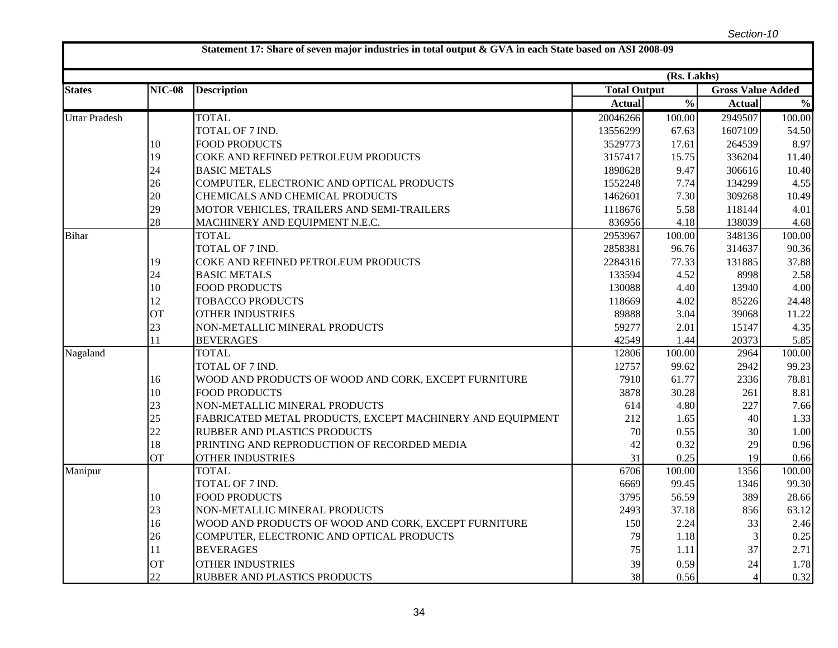|                      |               |                                                           |                     | (Rs. Lakhs)              |                          |               |
|----------------------|---------------|-----------------------------------------------------------|---------------------|--------------------------|--------------------------|---------------|
| <b>States</b>        | <b>NIC-08</b> | <b>Description</b>                                        | <b>Total Output</b> |                          | <b>Gross Value Added</b> |               |
|                      |               |                                                           | <b>Actual</b>       | $\overline{\frac{0}{0}}$ | <b>Actual</b>            | $\frac{0}{0}$ |
| <b>Uttar Pradesh</b> |               | <b>TOTAL</b>                                              | 20046266            | 100.00                   | 2949507                  | 100.00        |
|                      |               | TOTAL OF 7 IND.                                           | 13556299            | 67.63                    | 1607109                  | 54.50         |
|                      | 10            | <b>FOOD PRODUCTS</b>                                      | 3529773             | 17.61                    | 264539                   | 8.97          |
|                      | 19            | COKE AND REFINED PETROLEUM PRODUCTS                       | 3157417             | 15.75                    | 336204                   | 11.40         |
|                      | 24            | <b>BASIC METALS</b>                                       | 1898628             | 9.47                     | 306616                   | 10.40         |
|                      | 26            | COMPUTER, ELECTRONIC AND OPTICAL PRODUCTS                 | 1552248             | 7.74                     | 134299                   | 4.55          |
|                      | 20            | CHEMICALS AND CHEMICAL PRODUCTS                           | 1462601             | 7.30                     | 309268                   | 10.49         |
|                      | 29            | MOTOR VEHICLES, TRAILERS AND SEMI-TRAILERS                | 1118676             | 5.58                     | 118144                   | 4.01          |
|                      | 28            | MACHINERY AND EQUIPMENT N.E.C.                            | 836956              | 4.18                     | 138039                   | 4.68          |
| <b>Bihar</b>         |               | <b>TOTAL</b>                                              | 2953967             | 100.00                   | 348136                   | 100.00        |
|                      |               | TOTAL OF 7 IND.                                           | 2858381             | 96.76                    | 314637                   | 90.36         |
|                      | 19            | COKE AND REFINED PETROLEUM PRODUCTS                       | 2284316             | 77.33                    | 131885                   | 37.88         |
|                      | 24            | <b>BASIC METALS</b>                                       | 133594              | 4.52                     | 8998                     | 2.58          |
|                      | 10            | <b>FOOD PRODUCTS</b>                                      | 130088              | 4.40                     | 13940                    | 4.00          |
|                      | 12            | <b>TOBACCO PRODUCTS</b>                                   | 118669              | 4.02                     | 85226                    | 24.48         |
|                      | <b>OT</b>     | <b>OTHER INDUSTRIES</b>                                   | 89888               | 3.04                     | 39068                    | 11.22         |
|                      | 23            | NON-METALLIC MINERAL PRODUCTS                             | 59277               | 2.01                     | 15147                    | 4.35          |
|                      | 11            | <b>BEVERAGES</b>                                          | 42549               | 1.44                     | 20373                    | 5.85          |
| Nagaland             |               | <b>TOTAL</b>                                              | 12806               | 100.00                   | 2964                     | 100.00        |
|                      |               | TOTAL OF 7 IND.                                           | 12757               | 99.62                    | 2942                     | 99.23         |
|                      | 16            | WOOD AND PRODUCTS OF WOOD AND CORK, EXCEPT FURNITURE      | 7910                | 61.77                    | 2336                     | 78.81         |
|                      | 10            | <b>FOOD PRODUCTS</b>                                      | 3878                | 30.28                    | 261                      | 8.81          |
|                      | 23            | NON-METALLIC MINERAL PRODUCTS                             | 614                 | 4.80                     | 227                      | 7.66          |
|                      | 25            | FABRICATED METAL PRODUCTS, EXCEPT MACHINERY AND EQUIPMENT | 212                 | 1.65                     | 40                       | 1.33          |
|                      | 22            | RUBBER AND PLASTICS PRODUCTS                              | 70                  | 0.55                     | 30                       | 1.00          |
|                      | 18            | PRINTING AND REPRODUCTION OF RECORDED MEDIA               | 42                  | 0.32                     | 29                       | 0.96          |
|                      | <b>OT</b>     | OTHER INDUSTRIES                                          | 31                  | 0.25                     | 19                       | 0.66          |
| Manipur              |               | <b>TOTAL</b>                                              | 6706                | 100.00                   | 1356                     | 100.00        |
|                      |               | TOTAL OF 7 IND.                                           | 6669                | 99.45                    | 1346                     | 99.30         |
|                      | 10            | <b>FOOD PRODUCTS</b>                                      | 3795                | 56.59                    | 389                      | 28.66         |
|                      | 23            | NON-METALLIC MINERAL PRODUCTS                             | 2493                | 37.18                    | 856                      | 63.12         |
|                      | 16            | WOOD AND PRODUCTS OF WOOD AND CORK, EXCEPT FURNITURE      | 150                 | 2.24                     | 33                       | 2.46          |
|                      | 26            | COMPUTER, ELECTRONIC AND OPTICAL PRODUCTS                 | 79                  | 1.18                     |                          | 0.25          |
|                      | 11            | <b>BEVERAGES</b>                                          | 75                  | 1.11                     | 37                       | 2.71          |
|                      | <b>OT</b>     | <b>OTHER INDUSTRIES</b>                                   | 39                  | 0.59                     | 24                       | 1.78          |
|                      | 22            | RUBBER AND PLASTICS PRODUCTS                              | 38                  | 0.56                     | $\overline{4}$           | 0.32          |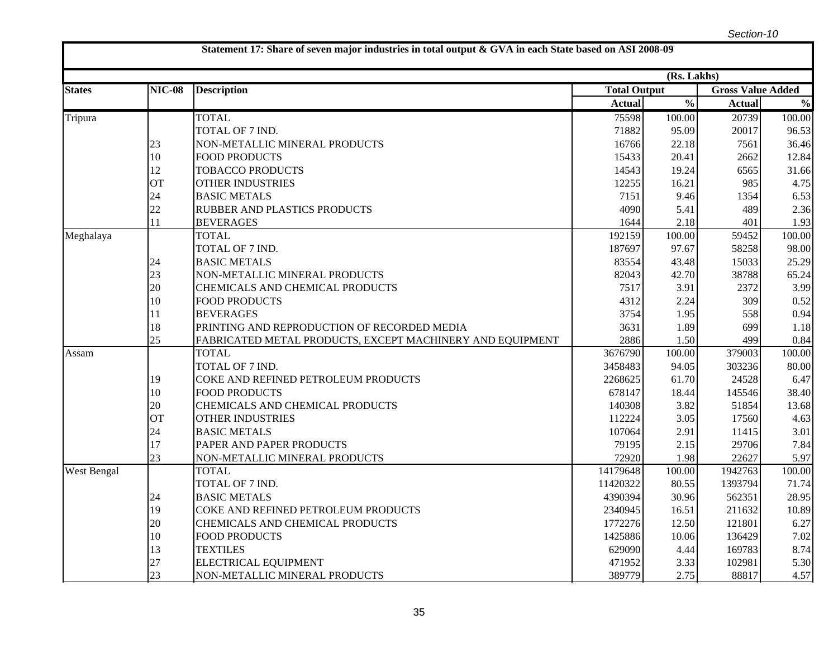|               |               |                                                           |                     | (Rs. Lakhs)              |                          |               |
|---------------|---------------|-----------------------------------------------------------|---------------------|--------------------------|--------------------------|---------------|
| <b>States</b> | <b>NIC-08</b> | <b>Description</b>                                        | <b>Total Output</b> |                          | <b>Gross Value Added</b> |               |
|               |               |                                                           | <b>Actual</b>       | $\overline{\frac{0}{0}}$ | <b>Actual</b>            | $\frac{0}{0}$ |
| Tripura       |               | <b>TOTAL</b>                                              | 75598               | 100.00                   | 20739                    | 100.00        |
|               |               | TOTAL OF 7 IND.                                           | 71882               | 95.09                    | 20017                    | 96.53         |
|               | 23            | NON-METALLIC MINERAL PRODUCTS                             | 16766               | 22.18                    | 7561                     | 36.46         |
|               | 10            | <b>FOOD PRODUCTS</b>                                      | 15433               | 20.41                    | 2662                     | 12.84         |
|               | 12            | <b>TOBACCO PRODUCTS</b>                                   | 14543               | 19.24                    | 6565                     | 31.66         |
|               | <b>OT</b>     | <b>OTHER INDUSTRIES</b>                                   | 12255               | 16.21                    | 985                      | 4.75          |
|               | 24            | <b>BASIC METALS</b>                                       | 7151                | 9.46                     | 1354                     | 6.53          |
|               | 22            | RUBBER AND PLASTICS PRODUCTS                              | 4090                | 5.41                     | 489                      | 2.36          |
|               | 11            | <b>BEVERAGES</b>                                          | 1644                | 2.18                     | 401                      | 1.93          |
| Meghalaya     |               | <b>TOTAL</b>                                              | 192159              | 100.00                   | 59452                    | 100.00        |
|               |               | TOTAL OF 7 IND.                                           | 187697              | 97.67                    | 58258                    | 98.00         |
|               | 24            | <b>BASIC METALS</b>                                       | 83554               | 43.48                    | 15033                    | 25.29         |
|               | 23            | NON-METALLIC MINERAL PRODUCTS                             | 82043               | 42.70                    | 38788                    | 65.24         |
|               | 20            | CHEMICALS AND CHEMICAL PRODUCTS                           | 7517                | 3.91                     | 2372                     | 3.99          |
|               | 10            | <b>FOOD PRODUCTS</b>                                      | 4312                | 2.24                     | 309                      | 0.52          |
|               | 11            | <b>BEVERAGES</b>                                          | 3754                | 1.95                     | 558                      | 0.94          |
|               | 18            | PRINTING AND REPRODUCTION OF RECORDED MEDIA               | 3631                | 1.89                     | 699                      | 1.18          |
|               | 25            | FABRICATED METAL PRODUCTS, EXCEPT MACHINERY AND EQUIPMENT | 2886                | 1.50                     | 499                      | 0.84          |
| Assam         |               | <b>TOTAL</b>                                              | 3676790             | 100.00                   | 379003                   | 100.00        |
|               |               | TOTAL OF 7 IND.                                           | 3458483             | 94.05                    | 303236                   | 80.00         |
|               | 19            | COKE AND REFINED PETROLEUM PRODUCTS                       | 2268625             | 61.70                    | 24528                    | 6.47          |
|               | 10            | <b>FOOD PRODUCTS</b>                                      | 678147              | 18.44                    | 145546                   | 38.40         |
|               | 20            | CHEMICALS AND CHEMICAL PRODUCTS                           | 140308              | 3.82                     | 51854                    | 13.68         |
|               | <b>OT</b>     | <b>OTHER INDUSTRIES</b>                                   | 112224              | 3.05                     | 17560                    | 4.63          |
|               | 24            | <b>BASIC METALS</b>                                       | 107064              | 2.91                     | 11415                    | 3.01          |
|               | 17            | PAPER AND PAPER PRODUCTS                                  | 79195               | 2.15                     | 29706                    | 7.84          |
|               | 23            | NON-METALLIC MINERAL PRODUCTS                             | 72920               | 1.98                     | 22627                    | 5.97          |
| West Bengal   |               | <b>TOTAL</b>                                              | 14179648            | 100.00                   | 1942763                  | 100.00        |
|               |               | TOTAL OF 7 IND.                                           | 11420322            | 80.55                    | 1393794                  | 71.74         |
|               | 24            | <b>BASIC METALS</b>                                       | 4390394             | 30.96                    | 562351                   | 28.95         |
|               | 19            | COKE AND REFINED PETROLEUM PRODUCTS                       | 2340945             | 16.51                    | 211632                   | 10.89         |
|               | 20            | CHEMICALS AND CHEMICAL PRODUCTS                           | 1772276             | 12.50                    | 121801                   | 6.27          |
|               | 10            | <b>FOOD PRODUCTS</b>                                      | 1425886             | 10.06                    | 136429                   | 7.02          |
|               | 13            | <b>TEXTILES</b>                                           | 629090              | 4.44                     | 169783                   | 8.74          |
|               | 27            | <b>ELECTRICAL EQUIPMENT</b>                               | 471952              | 3.33                     | 102981                   | 5.30          |
|               | 23            | NON-METALLIC MINERAL PRODUCTS                             | 389779              | 2.75                     | 88817                    | 4.57          |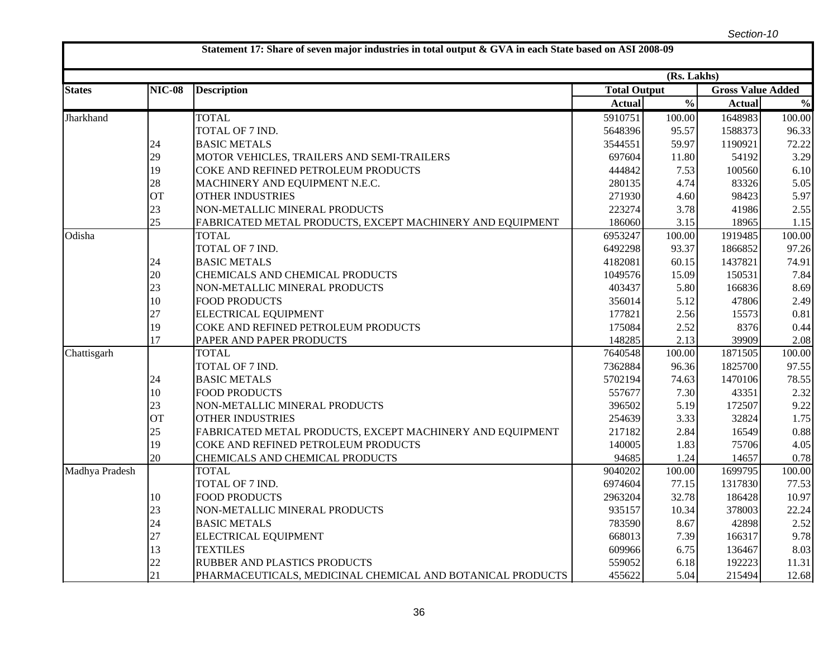|                |               |                                                            |                     | (Rs. Lakhs)              |                          |               |
|----------------|---------------|------------------------------------------------------------|---------------------|--------------------------|--------------------------|---------------|
| <b>States</b>  | <b>NIC-08</b> | <b>Description</b>                                         | <b>Total Output</b> |                          | <b>Gross Value Added</b> |               |
|                |               |                                                            | <b>Actual</b>       | $\overline{\frac{0}{0}}$ | <b>Actual</b>            | $\frac{0}{0}$ |
| Jharkhand      |               | <b>TOTAL</b>                                               | 5910751             | 100.00                   | 1648983                  | 100.00        |
|                |               | TOTAL OF 7 IND.                                            | 5648396             | 95.57                    | 1588373                  | 96.33         |
|                | 24            | <b>BASIC METALS</b>                                        | 3544551             | 59.97                    | 1190921                  | 72.22         |
|                | 29            | MOTOR VEHICLES, TRAILERS AND SEMI-TRAILERS                 | 697604              | 11.80                    | 54192                    | 3.29          |
|                | 19            | COKE AND REFINED PETROLEUM PRODUCTS                        | 444842              | 7.53                     | 100560                   | 6.10          |
|                | 28            | MACHINERY AND EQUIPMENT N.E.C.                             | 280135              | 4.74                     | 83326                    | 5.05          |
|                | <b>OT</b>     | <b>OTHER INDUSTRIES</b>                                    | 271930              | 4.60                     | 98423                    | 5.97          |
|                | 23            | NON-METALLIC MINERAL PRODUCTS                              | 223274              | 3.78                     | 41986                    | 2.55          |
|                | 25            | FABRICATED METAL PRODUCTS, EXCEPT MACHINERY AND EQUIPMENT  | 186060              | 3.15                     | 18965                    | 1.15          |
| Odisha         |               | <b>TOTAL</b>                                               | 6953247             | 100.00                   | 1919485                  | 100.00        |
|                |               | TOTAL OF 7 IND.                                            | 6492298             | 93.37                    | 1866852                  | 97.26         |
|                | 24            | <b>BASIC METALS</b>                                        | 4182081             | 60.15                    | 1437821                  | 74.91         |
|                | 20            | CHEMICALS AND CHEMICAL PRODUCTS                            | 1049576             | 15.09                    | 150531                   | 7.84          |
|                | 23            | NON-METALLIC MINERAL PRODUCTS                              | 403437              | 5.80                     | 166836                   | 8.69          |
|                | 10            | <b>FOOD PRODUCTS</b>                                       | 356014              | 5.12                     | 47806                    | 2.49          |
|                | 27            | ELECTRICAL EQUIPMENT                                       | 177821              | 2.56                     | 15573                    | 0.81          |
|                | 19            | COKE AND REFINED PETROLEUM PRODUCTS                        | 175084              | 2.52                     | 8376                     | 0.44          |
|                | 17            | PAPER AND PAPER PRODUCTS                                   | 148285              | 2.13                     | 39909                    | 2.08          |
| Chattisgarh    |               | <b>TOTAL</b>                                               | 7640548             | 100.00                   | 1871505                  | 100.00        |
|                |               | TOTAL OF 7 IND.                                            | 7362884             | 96.36                    | 1825700                  | 97.55         |
|                | 24            | <b>BASIC METALS</b>                                        | 5702194             | 74.63                    | 1470106                  | 78.55         |
|                | 10            | <b>FOOD PRODUCTS</b>                                       | 557677              | 7.30                     | 43351                    | 2.32          |
|                | 23            | NON-METALLIC MINERAL PRODUCTS                              | 396502              | 5.19                     | 172507                   | 9.22          |
|                | <b>OT</b>     | <b>OTHER INDUSTRIES</b>                                    | 254639              | 3.33                     | 32824                    | 1.75          |
|                | 25            | FABRICATED METAL PRODUCTS, EXCEPT MACHINERY AND EQUIPMENT  | 217182              | 2.84                     | 16549                    | 0.88          |
|                | 19            | COKE AND REFINED PETROLEUM PRODUCTS                        | 140005              | 1.83                     | 75706                    | 4.05          |
|                | 20            | CHEMICALS AND CHEMICAL PRODUCTS                            | 94685               | 1.24                     | 14657                    | 0.78          |
| Madhya Pradesh |               | <b>TOTAL</b>                                               | 9040202             | 100.00                   | 1699795                  | 100.00        |
|                |               | TOTAL OF 7 IND.                                            | 6974604             | 77.15                    | 1317830                  | 77.53         |
|                | 10            | <b>FOOD PRODUCTS</b>                                       | 2963204             | 32.78                    | 186428                   | 10.97         |
|                | 23            | NON-METALLIC MINERAL PRODUCTS                              | 935157              | 10.34                    | 378003                   | 22.24         |
|                | 24            | <b>BASIC METALS</b>                                        | 783590              | 8.67                     | 42898                    | 2.52          |
|                | 27            | <b>ELECTRICAL EQUIPMENT</b>                                | 668013              | 7.39                     | 166317                   | 9.78          |
|                | 13            | <b>TEXTILES</b>                                            | 609966              | 6.75                     | 136467                   | 8.03          |
|                | 22            | RUBBER AND PLASTICS PRODUCTS                               | 559052              | 6.18                     | 192223                   | 11.31         |
|                | 21            | PHARMACEUTICALS, MEDICINAL CHEMICAL AND BOTANICAL PRODUCTS | 455622              | 5.04                     | 215494                   | 12.68         |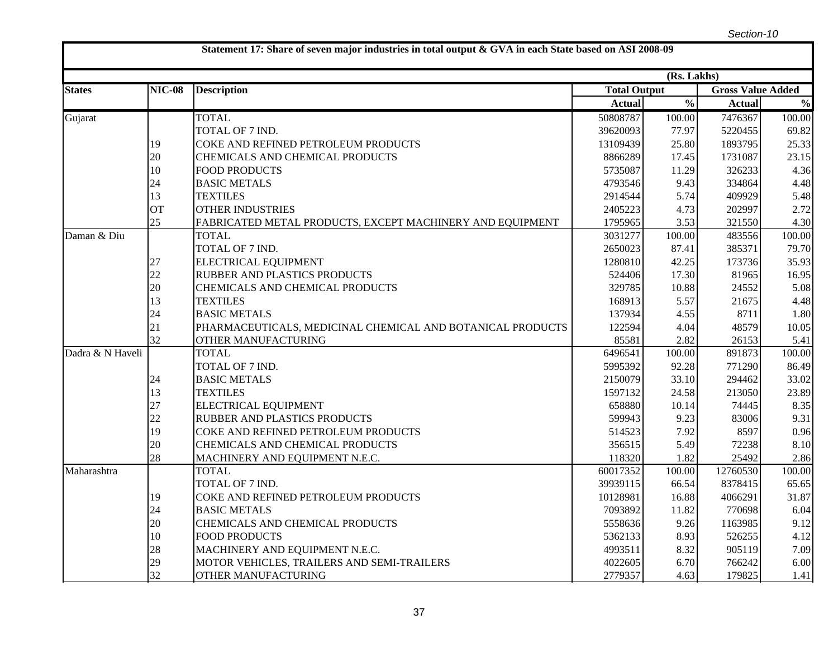|                  |               |                                                            | (Rs. Lakhs)         |                          |                          |               |  |
|------------------|---------------|------------------------------------------------------------|---------------------|--------------------------|--------------------------|---------------|--|
| <b>States</b>    | <b>NIC-08</b> | <b>Description</b>                                         | <b>Total Output</b> |                          | <b>Gross Value Added</b> |               |  |
|                  |               |                                                            | <b>Actual</b>       | $\overline{\frac{0}{0}}$ | <b>Actual</b>            | $\frac{0}{0}$ |  |
| Gujarat          |               | <b>TOTAL</b>                                               | 50808787            | 100.00                   | 7476367                  | 100.00        |  |
|                  |               | TOTAL OF 7 IND.                                            | 39620093            | 77.97                    | 5220455                  | 69.82         |  |
|                  | 19            | COKE AND REFINED PETROLEUM PRODUCTS                        | 13109439            | 25.80                    | 1893795                  | 25.33         |  |
|                  | 20            | CHEMICALS AND CHEMICAL PRODUCTS                            | 8866289             | 17.45                    | 1731087                  | 23.15         |  |
|                  | 10            | <b>FOOD PRODUCTS</b>                                       | 5735087             | 11.29                    | 326233                   | 4.36          |  |
|                  | 24            | <b>BASIC METALS</b>                                        | 4793546             | 9.43                     | 334864                   | 4.48          |  |
|                  | 13            | <b>TEXTILES</b>                                            | 2914544             | 5.74                     | 409929                   | 5.48          |  |
|                  | <b>OT</b>     | <b>OTHER INDUSTRIES</b>                                    | 2405223             | 4.73                     | 202997                   | 2.72          |  |
|                  | 25            | FABRICATED METAL PRODUCTS, EXCEPT MACHINERY AND EQUIPMENT  | 1795965             | 3.53                     | 321550                   | 4.30          |  |
| Daman & Diu      |               | <b>TOTAL</b>                                               | 3031277             | 100.00                   | 483556                   | 100.00        |  |
|                  |               | TOTAL OF 7 IND.                                            | 2650023             | 87.41                    | 385371                   | 79.70         |  |
|                  | 27            | ELECTRICAL EQUIPMENT                                       | 1280810             | 42.25                    | 173736                   | 35.93         |  |
|                  | 22            | RUBBER AND PLASTICS PRODUCTS                               | 524406              | 17.30                    | 81965                    | 16.95         |  |
|                  | 20            | CHEMICALS AND CHEMICAL PRODUCTS                            | 329785              | 10.88                    | 24552                    | 5.08          |  |
|                  | 13            | <b>TEXTILES</b>                                            | 168913              | 5.57                     | 21675                    | 4.48          |  |
|                  | 24            | <b>BASIC METALS</b>                                        | 137934              | 4.55                     | 8711                     | 1.80          |  |
|                  | 21            | PHARMACEUTICALS, MEDICINAL CHEMICAL AND BOTANICAL PRODUCTS | 122594              | 4.04                     | 48579                    | 10.05         |  |
|                  | 32            | OTHER MANUFACTURING                                        | 85581               | 2.82                     | 26153                    | 5.41          |  |
| Dadra & N Haveli |               | <b>TOTAL</b>                                               | 6496541             | 100.00                   | 891873                   | 100.00        |  |
|                  |               | TOTAL OF 7 IND.                                            | 5995392             | 92.28                    | 771290                   | 86.49         |  |
|                  | 24            | <b>BASIC METALS</b>                                        | 2150079             | 33.10                    | 294462                   | 33.02         |  |
|                  | 13            | <b>TEXTILES</b>                                            | 1597132             | 24.58                    | 213050                   | 23.89         |  |
|                  | 27            | ELECTRICAL EQUIPMENT                                       | 658880              | 10.14                    | 74445                    | 8.35          |  |
|                  | 22            | <b>RUBBER AND PLASTICS PRODUCTS</b>                        | 599943              | 9.23                     | 83006                    | 9.31          |  |
|                  | 19            | COKE AND REFINED PETROLEUM PRODUCTS                        | 514523              | 7.92                     | 8597                     | 0.96          |  |
|                  | 20            | CHEMICALS AND CHEMICAL PRODUCTS                            | 356515              | 5.49                     | 72238                    | 8.10          |  |
|                  | 28            | MACHINERY AND EQUIPMENT N.E.C.                             | 118320              | 1.82                     | 25492                    | 2.86          |  |
| Maharashtra      |               | <b>TOTAL</b>                                               | 60017352            | 100.00                   | 12760530                 | 100.00        |  |
|                  |               | TOTAL OF 7 IND.                                            | 39939115            | 66.54                    | 8378415                  | 65.65         |  |
|                  | 19            | COKE AND REFINED PETROLEUM PRODUCTS                        | 10128981            | 16.88                    | 4066291                  | 31.87         |  |
|                  | 24            | <b>BASIC METALS</b>                                        | 7093892             | 11.82                    | 770698                   | 6.04          |  |
|                  | 20            | CHEMICALS AND CHEMICAL PRODUCTS                            | 5558636             | 9.26                     | 1163985                  | 9.12          |  |
|                  | 10            | <b>FOOD PRODUCTS</b>                                       | 5362133             | 8.93                     | 526255                   | 4.12          |  |
|                  | 28            | MACHINERY AND EQUIPMENT N.E.C.                             | 4993511             | 8.32                     | 905119                   | 7.09          |  |
|                  | 29            | MOTOR VEHICLES, TRAILERS AND SEMI-TRAILERS                 | 4022605             | 6.70                     | 766242                   | 6.00          |  |
|                  | 32            | OTHER MANUFACTURING                                        | 2779357             | 4.63                     | 179825                   | 1.41          |  |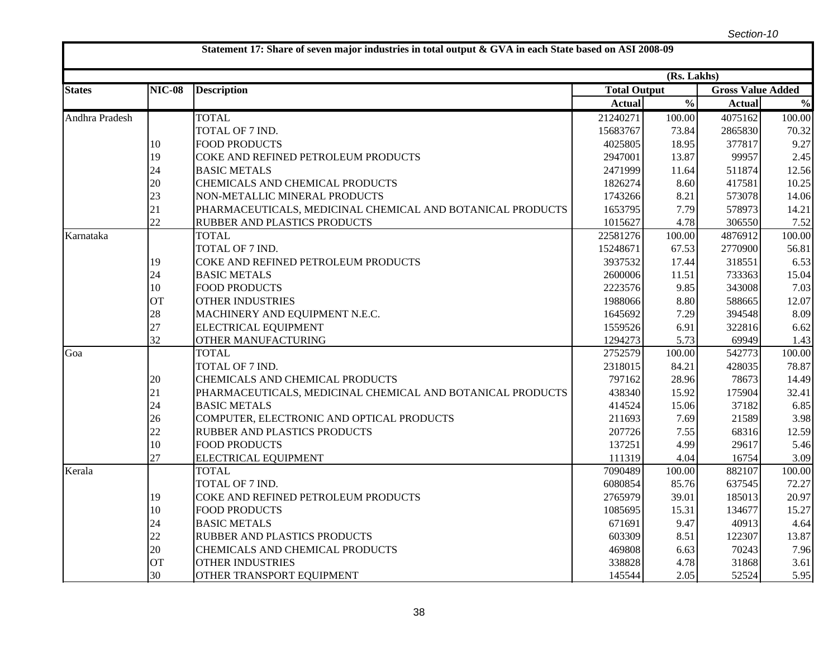|                |               |                                                            |                     | (Rs. Lakhs)              |                          |               |
|----------------|---------------|------------------------------------------------------------|---------------------|--------------------------|--------------------------|---------------|
| <b>States</b>  | <b>NIC-08</b> | <b>Description</b>                                         | <b>Total Output</b> |                          | <b>Gross Value Added</b> |               |
|                |               |                                                            | <b>Actual</b>       | $\overline{\frac{0}{0}}$ | <b>Actual</b>            | $\frac{0}{0}$ |
| Andhra Pradesh |               | <b>TOTAL</b>                                               | 21240271            | 100.00                   | 4075162                  | 100.00        |
|                |               | TOTAL OF 7 IND.                                            | 15683767            | 73.84                    | 2865830                  | 70.32         |
|                | 10            | <b>FOOD PRODUCTS</b>                                       | 4025805             | 18.95                    | 377817                   | 9.27          |
|                | 19            | COKE AND REFINED PETROLEUM PRODUCTS                        | 2947001             | 13.87                    | 99957                    | 2.45          |
|                | 24            | <b>BASIC METALS</b>                                        | 2471999             | 11.64                    | 511874                   | 12.56         |
|                | 20            | CHEMICALS AND CHEMICAL PRODUCTS                            | 1826274             | 8.60                     | 417581                   | 10.25         |
|                | 23            | NON-METALLIC MINERAL PRODUCTS                              | 1743266             | 8.21                     | 573078                   | 14.06         |
|                | 21            | PHARMACEUTICALS, MEDICINAL CHEMICAL AND BOTANICAL PRODUCTS | 1653795             | 7.79                     | 578973                   | 14.21         |
|                | 22            | RUBBER AND PLASTICS PRODUCTS                               | 1015627             | 4.78                     | 306550                   | 7.52          |
| Karnataka      |               | <b>TOTAL</b>                                               | 22581276            | 100.00                   | 4876912                  | 100.00        |
|                |               | TOTAL OF 7 IND.                                            | 15248671            | 67.53                    | 2770900                  | 56.81         |
|                | 19            | COKE AND REFINED PETROLEUM PRODUCTS                        | 3937532             | 17.44                    | 318551                   | 6.53          |
|                | 24            | <b>BASIC METALS</b>                                        | 2600006             | 11.51                    | 733363                   | 15.04         |
|                | 10            | <b>FOOD PRODUCTS</b>                                       | 2223576             | 9.85                     | 343008                   | 7.03          |
|                | <b>OT</b>     | <b>OTHER INDUSTRIES</b>                                    | 1988066             | 8.80                     | 588665                   | 12.07         |
|                | 28            | MACHINERY AND EQUIPMENT N.E.C.                             | 1645692             | 7.29                     | 394548                   | 8.09          |
|                | 27            | ELECTRICAL EQUIPMENT                                       | 1559526             | 6.91                     | 322816                   | 6.62          |
|                | 32            | OTHER MANUFACTURING                                        | 1294273             | 5.73                     | 69949                    | 1.43          |
| Goa            |               | <b>TOTAL</b>                                               | 2752579             | 100.00                   | 542773                   | 100.00        |
|                |               | TOTAL OF 7 IND.                                            | 2318015             | 84.21                    | 428035                   | 78.87         |
|                | 20            | CHEMICALS AND CHEMICAL PRODUCTS                            | 797162              | 28.96                    | 78673                    | 14.49         |
|                | 21            | PHARMACEUTICALS, MEDICINAL CHEMICAL AND BOTANICAL PRODUCTS | 438340              | 15.92                    | 175904                   | 32.41         |
|                | 24            | <b>BASIC METALS</b>                                        | 414524              | 15.06                    | 37182                    | 6.85          |
|                | 26            | COMPUTER, ELECTRONIC AND OPTICAL PRODUCTS                  | 211693              | 7.69                     | 21589                    | 3.98          |
|                | 22            | RUBBER AND PLASTICS PRODUCTS                               | 207726              | 7.55                     | 68316                    | 12.59         |
|                | 10            | <b>FOOD PRODUCTS</b>                                       | 137251              | 4.99                     | 29617                    | 5.46          |
|                | 27            | ELECTRICAL EQUIPMENT                                       | 111319              | 4.04                     | 16754                    | 3.09          |
| Kerala         |               | <b>TOTAL</b>                                               | 7090489             | 100.00                   | 882107                   | 100.00        |
|                |               | TOTAL OF 7 IND.                                            | 6080854             | 85.76                    | 637545                   | 72.27         |
|                | 19            | COKE AND REFINED PETROLEUM PRODUCTS                        | 2765979             | 39.01                    | 185013                   | 20.97         |
|                | 10            | <b>FOOD PRODUCTS</b>                                       | 1085695             | 15.31                    | 134677                   | 15.27         |
|                | 24            | <b>BASIC METALS</b>                                        | 671691              | 9.47                     | 40913                    | 4.64          |
|                | 22            | RUBBER AND PLASTICS PRODUCTS                               | 603309              | 8.51                     | 122307                   | 13.87         |
|                | 20            | CHEMICALS AND CHEMICAL PRODUCTS                            | 469808              | 6.63                     | 70243                    | 7.96          |
|                | <b>OT</b>     | <b>OTHER INDUSTRIES</b>                                    | 338828              | 4.78                     | 31868                    | 3.61          |
|                | 30            | OTHER TRANSPORT EQUIPMENT                                  | 145544              | 2.05                     | 52524                    | 5.95          |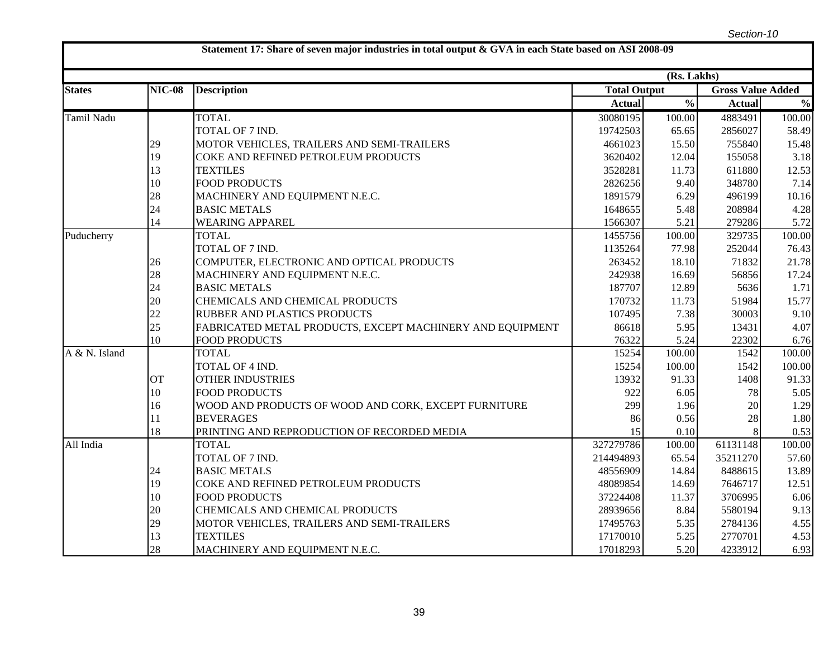|                   |               | Statement 17: Share of seven major industries in total output & GVA in each State based on ASI 2008-09 |                     |               |               |                          |  |
|-------------------|---------------|--------------------------------------------------------------------------------------------------------|---------------------|---------------|---------------|--------------------------|--|
|                   |               |                                                                                                        |                     | (Rs. Lakhs)   |               |                          |  |
| <b>States</b>     | <b>NIC-08</b> | <b>Description</b>                                                                                     | <b>Total Output</b> |               |               | <b>Gross Value Added</b> |  |
|                   |               |                                                                                                        | <b>Actual</b>       | $\frac{0}{0}$ | <b>Actual</b> | $\frac{0}{0}$            |  |
| <b>Tamil Nadu</b> |               | <b>TOTAL</b>                                                                                           | 30080195            | 100.00        | 4883491       | 100.00                   |  |
|                   |               | TOTAL OF 7 IND.                                                                                        | 19742503            | 65.65         | 2856027       | 58.49                    |  |
|                   | 29            | MOTOR VEHICLES, TRAILERS AND SEMI-TRAILERS                                                             | 4661023             | 15.50         | 755840        | 15.48                    |  |
|                   | 19            | COKE AND REFINED PETROLEUM PRODUCTS                                                                    | 3620402             | 12.04         | 155058        | 3.18                     |  |
|                   | 13            | <b>TEXTILES</b>                                                                                        | 3528281             | 11.73         | 611880        | 12.53                    |  |
|                   | 10            | <b>FOOD PRODUCTS</b>                                                                                   | 2826256             | 9.40          | 348780        | 7.14                     |  |
|                   | 28            | MACHINERY AND EQUIPMENT N.E.C.                                                                         | 1891579             | 6.29          | 496199        | 10.16                    |  |
|                   | 24            | <b>BASIC METALS</b>                                                                                    | 1648655             | 5.48          | 208984        | 4.28                     |  |
|                   | 14            | <b>WEARING APPAREL</b>                                                                                 | 1566307             | 5.21          | 279286        | 5.72                     |  |
| Puducherry        |               | <b>TOTAL</b>                                                                                           | 1455756             | 100.00        | 329735        | 100.00                   |  |
|                   |               | TOTAL OF 7 IND.                                                                                        | 1135264             | 77.98         | 252044        | 76.43                    |  |
|                   | 26            | COMPUTER, ELECTRONIC AND OPTICAL PRODUCTS                                                              | 263452              | 18.10         | 71832         | 21.78                    |  |
|                   | 28            | MACHINERY AND EQUIPMENT N.E.C.                                                                         | 242938              | 16.69         | 56856         | 17.24                    |  |
|                   | 24            | <b>BASIC METALS</b>                                                                                    | 187707              | 12.89         | 5636          | 1.71                     |  |
|                   | 20            | CHEMICALS AND CHEMICAL PRODUCTS                                                                        | 170732              | 11.73         | 51984         | 15.77                    |  |
|                   | 22            | RUBBER AND PLASTICS PRODUCTS                                                                           | 107495              | 7.38          | 30003         | 9.10                     |  |
|                   | 25            | FABRICATED METAL PRODUCTS, EXCEPT MACHINERY AND EQUIPMENT                                              | 86618               | 5.95          | 13431         | 4.07                     |  |
|                   | 10            | <b>FOOD PRODUCTS</b>                                                                                   | 76322               | 5.24          | 22302         | 6.76                     |  |
| A & N. Island     |               | <b>TOTAL</b>                                                                                           | 15254               | 100.00        | 1542          | 100.00                   |  |
|                   |               | TOTAL OF 4 IND.                                                                                        | 15254               | 100.00        | 1542          | 100.00                   |  |
|                   | <b>OT</b>     | <b>OTHER INDUSTRIES</b>                                                                                | 13932               | 91.33         | 1408          | 91.33                    |  |
|                   | 10            | <b>FOOD PRODUCTS</b>                                                                                   | 922                 | 6.05          | 78            | 5.05                     |  |
|                   | 16            | WOOD AND PRODUCTS OF WOOD AND CORK, EXCEPT FURNITURE                                                   | 299                 | 1.96          | 20            | 1.29                     |  |
|                   | 11            | <b>BEVERAGES</b>                                                                                       | 86                  | 0.56          | 28            | 1.80                     |  |
|                   | 18            | PRINTING AND REPRODUCTION OF RECORDED MEDIA                                                            | 15                  | 0.10          |               | 0.53                     |  |
| All India         |               | <b>TOTAL</b>                                                                                           | 327279786           | 100.00        | 61131148      | 100.00                   |  |
|                   |               | TOTAL OF 7 IND.                                                                                        | 214494893           | 65.54         | 35211270      | 57.60                    |  |
|                   | 24            | <b>BASIC METALS</b>                                                                                    | 48556909            | 14.84         | 8488615       | 13.89                    |  |
|                   | 19            | COKE AND REFINED PETROLEUM PRODUCTS                                                                    | 48089854            | 14.69         | 7646717       | 12.51                    |  |
|                   | 10            | <b>FOOD PRODUCTS</b>                                                                                   | 37224408            | 11.37         | 3706995       | 6.06                     |  |
|                   | 20            | CHEMICALS AND CHEMICAL PRODUCTS                                                                        | 28939656            | 8.84          | 5580194       | 9.13                     |  |
|                   | 29            | MOTOR VEHICLES, TRAILERS AND SEMI-TRAILERS                                                             | 17495763            | 5.35          | 2784136       | 4.55                     |  |
|                   | 13            | <b>TEXTILES</b>                                                                                        | 17170010            | 5.25          | 2770701       | 4.53                     |  |
|                   | 28            | MACHINERY AND EQUIPMENT N.E.C.                                                                         | 17018293            | 5.20          | 4233912       | 6.93                     |  |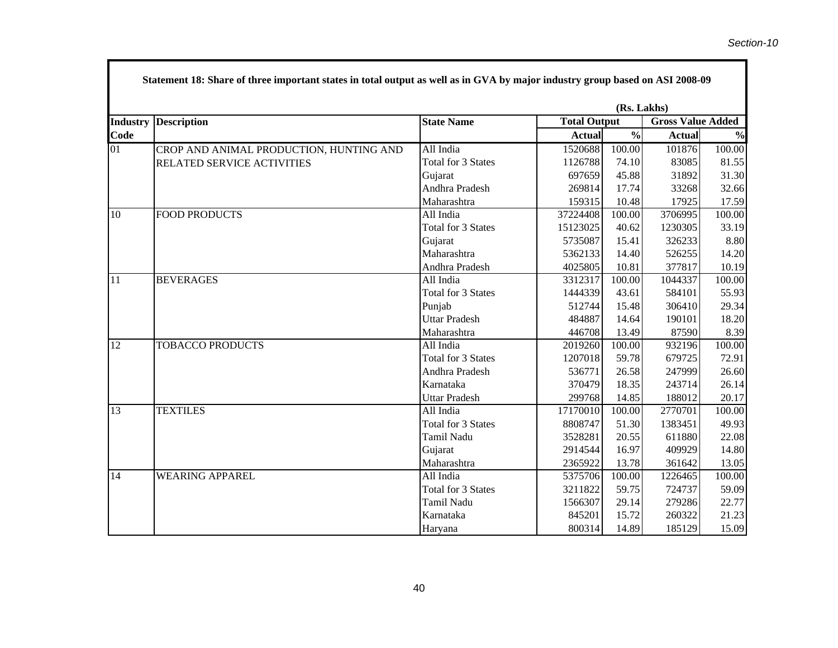|                 | Statement 18: Share of three important states in total output as well as in GVA by major industry group based on ASI 2008-09 |                           |                     |               |                          |               |  |  |  |
|-----------------|------------------------------------------------------------------------------------------------------------------------------|---------------------------|---------------------|---------------|--------------------------|---------------|--|--|--|
|                 | (Rs. Lakhs)                                                                                                                  |                           |                     |               |                          |               |  |  |  |
| <b>Industry</b> | <b>Description</b>                                                                                                           | <b>State Name</b>         | <b>Total Output</b> |               | <b>Gross Value Added</b> |               |  |  |  |
| Code            |                                                                                                                              |                           | <b>Actual</b>       | $\frac{0}{2}$ | <b>Actual</b>            | $\frac{0}{0}$ |  |  |  |
| 01              | CROP AND ANIMAL PRODUCTION, HUNTING AND                                                                                      | All India                 | 1520688             | 100.00        | 101876                   | 100.00        |  |  |  |
|                 | RELATED SERVICE ACTIVITIES                                                                                                   | <b>Total for 3 States</b> | 1126788             | 74.10         | 83085                    | 81.55         |  |  |  |
|                 |                                                                                                                              | Gujarat                   | 697659              | 45.88         | 31892                    | 31.30         |  |  |  |
|                 |                                                                                                                              | Andhra Pradesh            | 269814              | 17.74         | 33268                    | 32.66         |  |  |  |
|                 |                                                                                                                              | Maharashtra               | 159315              | 10.48         | 17925                    | 17.59         |  |  |  |
| 10              | <b>FOOD PRODUCTS</b>                                                                                                         | All India                 | 37224408            | 100.00        | 3706995                  | 100.00        |  |  |  |
|                 |                                                                                                                              | <b>Total for 3 States</b> | 15123025            | 40.62         | 1230305                  | 33.19         |  |  |  |
|                 |                                                                                                                              | Gujarat                   | 5735087             | 15.41         | 326233                   | 8.80          |  |  |  |
|                 |                                                                                                                              | Maharashtra               | 5362133             | 14.40         | 526255                   | 14.20         |  |  |  |
|                 |                                                                                                                              | Andhra Pradesh            | 4025805             | 10.81         | 377817                   | 10.19         |  |  |  |
| 11              | <b>BEVERAGES</b>                                                                                                             | All India                 | 3312317             | 100.00        | 1044337                  | 100.00        |  |  |  |
|                 |                                                                                                                              | <b>Total for 3 States</b> | 1444339             | 43.61         | 584101                   | 55.93         |  |  |  |
|                 |                                                                                                                              | Punjab                    | 512744              | 15.48         | 306410                   | 29.34         |  |  |  |
|                 |                                                                                                                              | <b>Uttar Pradesh</b>      | 484887              | 14.64         | 190101                   | 18.20         |  |  |  |
|                 |                                                                                                                              | Maharashtra               | 446708              | 13.49         | 87590                    | 8.39          |  |  |  |
| $\overline{12}$ | <b>TOBACCO PRODUCTS</b>                                                                                                      | All India                 | 2019260             | 100.00        | 932196                   | 100.00        |  |  |  |
|                 |                                                                                                                              | <b>Total for 3 States</b> | 1207018             | 59.78         | 679725                   | 72.91         |  |  |  |
|                 |                                                                                                                              | Andhra Pradesh            | 536771              | 26.58         | 247999                   | 26.60         |  |  |  |
|                 |                                                                                                                              | Karnataka                 | 370479              | 18.35         | 243714                   | 26.14         |  |  |  |
|                 |                                                                                                                              | <b>Uttar Pradesh</b>      | 299768              | 14.85         | 188012                   | 20.17         |  |  |  |
| $\overline{13}$ | <b>TEXTILES</b>                                                                                                              | All India                 | 17170010            | 100.00        | 2770701                  | 100.00        |  |  |  |
|                 |                                                                                                                              | <b>Total for 3 States</b> | 8808747             | 51.30         | 1383451                  | 49.93         |  |  |  |
|                 |                                                                                                                              | Tamil Nadu                | 3528281             | 20.55         | 611880                   | 22.08         |  |  |  |
|                 |                                                                                                                              | Gujarat                   | 2914544             | 16.97         | 409929                   | 14.80         |  |  |  |
|                 |                                                                                                                              | Maharashtra               | 2365922             | 13.78         | 361642                   | 13.05         |  |  |  |
| 14              | <b>WEARING APPAREL</b>                                                                                                       | All India                 | 5375706             | 100.00        | 1226465                  | 100.00        |  |  |  |
|                 |                                                                                                                              | <b>Total for 3 States</b> | 3211822             | 59.75         | 724737                   | 59.09         |  |  |  |
|                 |                                                                                                                              | Tamil Nadu                | 1566307             | 29.14         | 279286                   | 22.77         |  |  |  |
|                 |                                                                                                                              | Karnataka                 | 845201              | 15.72         | 260322                   | 21.23         |  |  |  |
|                 |                                                                                                                              | Haryana                   | 800314              | 14.89         | 185129                   | 15.09         |  |  |  |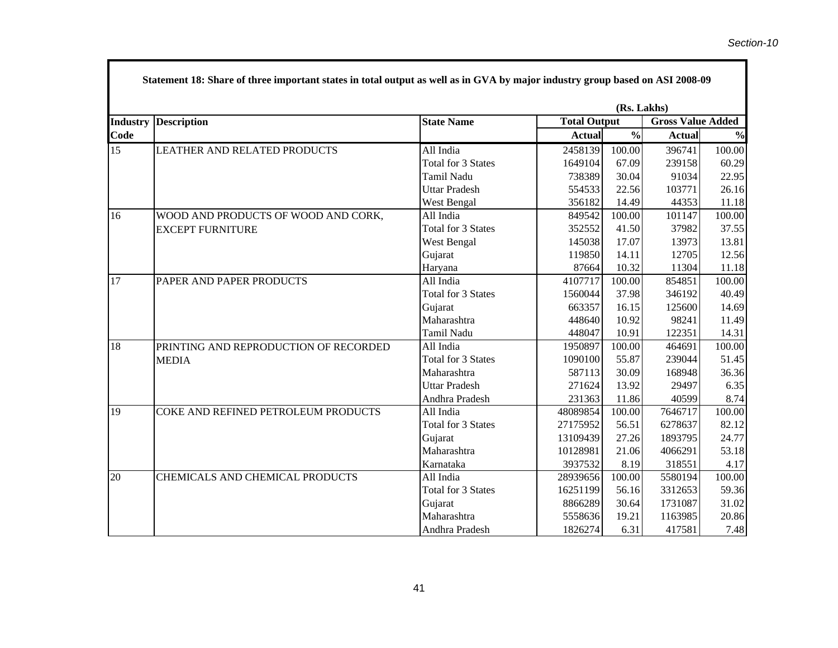|                 | Statement 18: Share of three important states in total output as well as in GVA by major industry group based on ASI 2008-09 |                           |                     |               |                          |               |  |  |  |
|-----------------|------------------------------------------------------------------------------------------------------------------------------|---------------------------|---------------------|---------------|--------------------------|---------------|--|--|--|
|                 | (Rs. Lakhs)                                                                                                                  |                           |                     |               |                          |               |  |  |  |
| <b>Industry</b> | <b>Description</b>                                                                                                           | <b>State Name</b>         | <b>Total Output</b> |               | <b>Gross Value Added</b> |               |  |  |  |
| Code            |                                                                                                                              |                           | <b>Actual</b>       | $\frac{0}{0}$ | <b>Actual</b>            | $\frac{0}{0}$ |  |  |  |
| 15              | LEATHER AND RELATED PRODUCTS                                                                                                 | All India                 | 2458139             | 100.00        | 396741                   | 100.00        |  |  |  |
|                 |                                                                                                                              | <b>Total for 3 States</b> | 1649104             | 67.09         | 239158                   | 60.29         |  |  |  |
|                 |                                                                                                                              | Tamil Nadu                | 738389              | 30.04         | 91034                    | 22.95         |  |  |  |
|                 |                                                                                                                              | <b>Uttar Pradesh</b>      | 554533              | 22.56         | 103771                   | 26.16         |  |  |  |
|                 |                                                                                                                              | West Bengal               | 356182              | 14.49         | 44353                    | 11.18         |  |  |  |
| 16              | WOOD AND PRODUCTS OF WOOD AND CORK,                                                                                          | All India                 | 849542              | 100.00        | 101147                   | 100.00        |  |  |  |
|                 | <b>EXCEPT FURNITURE</b>                                                                                                      | Total for 3 States        | 352552              | 41.50         | 37982                    | 37.55         |  |  |  |
|                 |                                                                                                                              | West Bengal               | 145038              | 17.07         | 13973                    | 13.81         |  |  |  |
|                 |                                                                                                                              | Gujarat                   | 119850              | 14.11         | 12705                    | 12.56         |  |  |  |
|                 |                                                                                                                              | Haryana                   | 87664               | 10.32         | 11304                    | 11.18         |  |  |  |
| 17              | PAPER AND PAPER PRODUCTS                                                                                                     | All India                 | 4107717             | 100.00        | 854851                   | 100.00        |  |  |  |
|                 |                                                                                                                              | <b>Total for 3 States</b> | 1560044             | 37.98         | 346192                   | 40.49         |  |  |  |
|                 |                                                                                                                              | Gujarat                   | 663357              | 16.15         | 125600                   | 14.69         |  |  |  |
|                 |                                                                                                                              | Maharashtra               | 448640              | 10.92         | 98241                    | 11.49         |  |  |  |
|                 |                                                                                                                              | Tamil Nadu                | 448047              | 10.91         | 122351                   | 14.31         |  |  |  |
| 18              | PRINTING AND REPRODUCTION OF RECORDED                                                                                        | All India                 | 1950897             | 100.00        | 464691                   | 100.00        |  |  |  |
|                 | <b>MEDIA</b>                                                                                                                 | Total for 3 States        | 1090100             | 55.87         | 239044                   | 51.45         |  |  |  |
|                 |                                                                                                                              | Maharashtra               | 587113              | 30.09         | 168948                   | 36.36         |  |  |  |
|                 |                                                                                                                              | <b>Uttar Pradesh</b>      | 271624              | 13.92         | 29497                    | 6.35          |  |  |  |
|                 |                                                                                                                              | Andhra Pradesh            | 231363              | 11.86         | 40599                    | 8.74          |  |  |  |
| 19              | COKE AND REFINED PETROLEUM PRODUCTS                                                                                          | All India                 | 48089854            | 100.00        | 7646717                  | 100.00        |  |  |  |
|                 |                                                                                                                              | Total for 3 States        | 27175952            | 56.51         | 6278637                  | 82.12         |  |  |  |
|                 |                                                                                                                              | Gujarat                   | 13109439            | 27.26         | 1893795                  | 24.77         |  |  |  |
|                 |                                                                                                                              | Maharashtra               | 10128981            | 21.06         | 4066291                  | 53.18         |  |  |  |
|                 |                                                                                                                              | Karnataka                 | 3937532             | 8.19          | 318551                   | 4.17          |  |  |  |
| 20              | CHEMICALS AND CHEMICAL PRODUCTS                                                                                              | All India                 | 28939656            | 100.00        | 5580194                  | 100.00        |  |  |  |
|                 |                                                                                                                              | Total for 3 States        | 16251199            | 56.16         | 3312653                  | 59.36         |  |  |  |
|                 |                                                                                                                              | Gujarat                   | 8866289             | 30.64         | 1731087                  | 31.02         |  |  |  |
|                 |                                                                                                                              | Maharashtra               | 5558636             | 19.21         | 1163985                  | 20.86         |  |  |  |
|                 |                                                                                                                              | Andhra Pradesh            | 1826274             | 6.31          | 417581                   | 7.48          |  |  |  |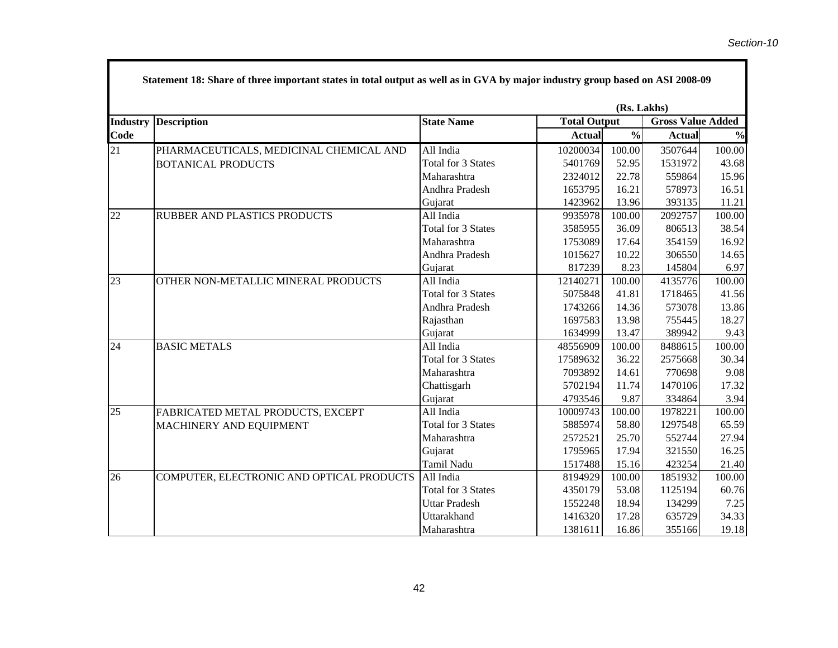٦

|                 |                                           |                           |               | (Rs. Lakhs)         |               |                          |  |
|-----------------|-------------------------------------------|---------------------------|---------------|---------------------|---------------|--------------------------|--|
| <b>Industry</b> | <b>Description</b>                        | <b>State Name</b>         |               | <b>Total Output</b> |               | <b>Gross Value Added</b> |  |
| Code            |                                           |                           | <b>Actual</b> | $\frac{0}{0}$       | <b>Actual</b> | $\frac{0}{0}$            |  |
| 21              | PHARMACEUTICALS, MEDICINAL CHEMICAL AND   | All India                 | 10200034      | 100.00              | 3507644       | 100.00                   |  |
|                 | <b>BOTANICAL PRODUCTS</b>                 | <b>Total for 3 States</b> | 5401769       | 52.95               | 1531972       | 43.68                    |  |
|                 |                                           | Maharashtra               | 2324012       | 22.78               | 559864        | 15.96                    |  |
|                 |                                           | Andhra Pradesh            | 1653795       | 16.21               | 578973        | 16.51                    |  |
|                 |                                           | Gujarat                   | 1423962       | 13.96               | 393135        | 11.21                    |  |
| 22              | RUBBER AND PLASTICS PRODUCTS              | All India                 | 9935978       | 100.00              | 2092757       | 100.00                   |  |
|                 |                                           | <b>Total for 3 States</b> | 3585955       | 36.09               | 806513        | 38.54                    |  |
|                 |                                           | Maharashtra               | 1753089       | 17.64               | 354159        | 16.92                    |  |
|                 |                                           | Andhra Pradesh            | 1015627       | 10.22               | 306550        | 14.65                    |  |
|                 |                                           | Gujarat                   | 817239        | 8.23                | 145804        | 6.97                     |  |
| 23              | OTHER NON-METALLIC MINERAL PRODUCTS       | All India                 | 12140271      | 100.00              | 4135776       | 100.00                   |  |
|                 |                                           | <b>Total for 3 States</b> | 5075848       | 41.81               | 1718465       | 41.56                    |  |
|                 |                                           | Andhra Pradesh            | 1743266       | 14.36               | 573078        | 13.86                    |  |
|                 |                                           | Rajasthan                 | 1697583       | 13.98               | 755445        | 18.27                    |  |
|                 |                                           | Gujarat                   | 1634999       | 13.47               | 389942        | 9.43                     |  |
| 24              | <b>BASIC METALS</b>                       | All India                 | 48556909      | 100.00              | 8488615       | 100.00                   |  |
|                 |                                           | <b>Total for 3 States</b> | 17589632      | 36.22               | 2575668       | 30.34                    |  |
|                 |                                           | Maharashtra               | 7093892       | 14.61               | 770698        | 9.08                     |  |
|                 |                                           | Chattisgarh               | 5702194       | 11.74               | 1470106       | 17.32                    |  |
|                 |                                           | Gujarat                   | 4793546       | 9.87                | 334864        | 3.94                     |  |
| 25              | FABRICATED METAL PRODUCTS, EXCEPT         | All India                 | 10009743      | 100.00              | 1978221       | 100.00                   |  |
|                 | MACHINERY AND EQUIPMENT                   | <b>Total for 3 States</b> | 5885974       | 58.80               | 1297548       | 65.59                    |  |
|                 |                                           | Maharashtra               | 2572521       | 25.70               | 552744        | 27.94                    |  |
|                 |                                           | Gujarat                   | 1795965       | 17.94               | 321550        | 16.25                    |  |
|                 |                                           | Tamil Nadu                | 1517488       | 15.16               | 423254        | 21.40                    |  |
| $\overline{26}$ | COMPUTER, ELECTRONIC AND OPTICAL PRODUCTS | All India                 | 8194929       | 100.00              | 1851932       | 100.00                   |  |
|                 |                                           | <b>Total for 3 States</b> | 4350179       | 53.08               | 1125194       | 60.76                    |  |
|                 |                                           | <b>Uttar Pradesh</b>      | 1552248       | 18.94               | 134299        | 7.25                     |  |
|                 |                                           | Uttarakhand               | 1416320       | 17.28               | 635729        | 34.33                    |  |
|                 |                                           | Maharashtra               | 1381611       | 16.86               | 355166        | 19.18                    |  |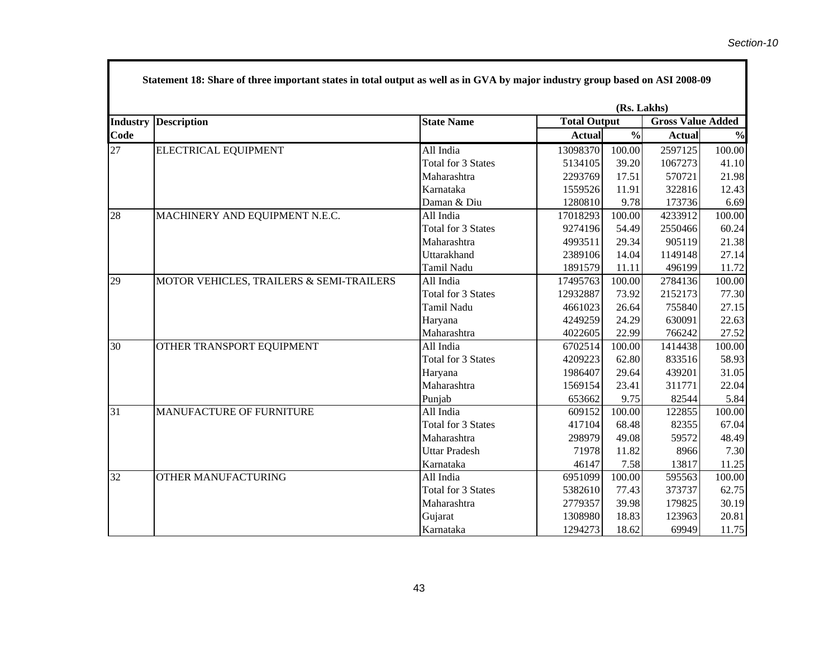٦

|                 |                                          |                           |               | (Rs. Lakhs)         |               |                          |  |  |  |
|-----------------|------------------------------------------|---------------------------|---------------|---------------------|---------------|--------------------------|--|--|--|
| <b>Industry</b> | <b>Description</b>                       | <b>State Name</b>         |               | <b>Total Output</b> |               | <b>Gross Value Added</b> |  |  |  |
| Code            |                                          |                           | <b>Actual</b> | $\frac{0}{0}$       | <b>Actual</b> | $\frac{0}{0}$            |  |  |  |
| 27              | <b>ELECTRICAL EQUIPMENT</b>              | All India                 | 13098370      | 100.00              | 2597125       | 100.00                   |  |  |  |
|                 |                                          | <b>Total for 3 States</b> | 5134105       | 39.20               | 1067273       | 41.10                    |  |  |  |
|                 |                                          | Maharashtra               | 2293769       | 17.51               | 570721        | 21.98                    |  |  |  |
|                 |                                          | Karnataka                 | 1559526       | 11.91               | 322816        | 12.43                    |  |  |  |
|                 |                                          | Daman & Diu               | 1280810       | 9.78                | 173736        | 6.69                     |  |  |  |
| 28              | MACHINERY AND EQUIPMENT N.E.C.           | All India                 | 17018293      | 100.00              | 4233912       | 100.00                   |  |  |  |
|                 |                                          | Total for 3 States        | 9274196       | 54.49               | 2550466       | 60.24                    |  |  |  |
|                 |                                          | Maharashtra               | 4993511       | 29.34               | 905119        | 21.38                    |  |  |  |
|                 |                                          | Uttarakhand               | 2389106       | 14.04               | 1149148       | 27.14                    |  |  |  |
|                 |                                          | Tamil Nadu                | 1891579       | 11.11               | 496199        | 11.72                    |  |  |  |
| 29              | MOTOR VEHICLES, TRAILERS & SEMI-TRAILERS | All India                 | 17495763      | 100.00              | 2784136       | 100.00                   |  |  |  |
|                 |                                          | <b>Total for 3 States</b> | 12932887      | 73.92               | 2152173       | 77.30                    |  |  |  |
|                 |                                          | Tamil Nadu                | 4661023       | 26.64               | 755840        | 27.15                    |  |  |  |
|                 |                                          | Haryana                   | 4249259       | 24.29               | 630091        | 22.63                    |  |  |  |
|                 |                                          | Maharashtra               | 4022605       | 22.99               | 766242        | 27.52                    |  |  |  |
| 30              | OTHER TRANSPORT EQUIPMENT                | All India                 | 6702514       | 100.00              | 1414438       | 100.00                   |  |  |  |
|                 |                                          | Total for 3 States        | 4209223       | 62.80               | 833516        | 58.93                    |  |  |  |
|                 |                                          | Haryana                   | 1986407       | 29.64               | 439201        | 31.05                    |  |  |  |
|                 |                                          | Maharashtra               | 1569154       | 23.41               | 311771        | 22.04                    |  |  |  |
|                 |                                          | Punjab                    | 653662        | 9.75                | 82544         | 5.84                     |  |  |  |
| 31              | <b>MANUFACTURE OF FURNITURE</b>          | All India                 | 609152        | 100.00              | 122855        | 100.00                   |  |  |  |
|                 |                                          | <b>Total for 3 States</b> | 417104        | 68.48               | 82355         | 67.04                    |  |  |  |
|                 |                                          | Maharashtra               | 298979        | 49.08               | 59572         | 48.49                    |  |  |  |
|                 |                                          | <b>Uttar Pradesh</b>      | 71978         | 11.82               | 8966          | 7.30                     |  |  |  |
|                 |                                          | Karnataka                 | 46147         | 7.58                | 13817         | 11.25                    |  |  |  |
| 32              | <b>OTHER MANUFACTURING</b>               | All India                 | 6951099       | 100.00              | 595563        | 100.00                   |  |  |  |
|                 |                                          | Total for 3 States        | 5382610       | 77.43               | 373737        | 62.75                    |  |  |  |
|                 |                                          | Maharashtra               | 2779357       | 39.98               | 179825        | 30.19                    |  |  |  |
|                 |                                          | Gujarat                   | 1308980       | 18.83               | 123963        | 20.81                    |  |  |  |
|                 |                                          | Karnataka                 | 1294273       | 18.62               | 69949         | 11.75                    |  |  |  |